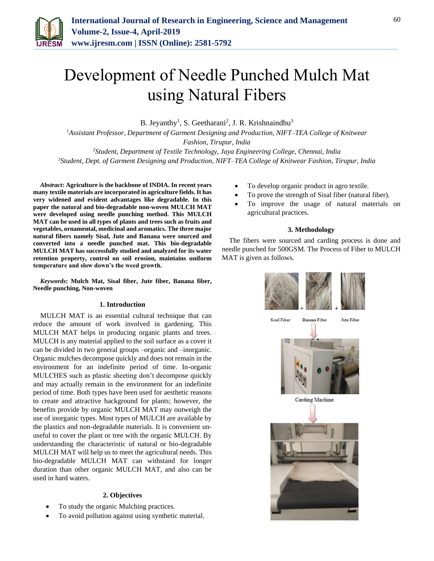

# Development of Needle Punched Mulch Mat using Natural Fibers

B. Jeyanthy<sup>1</sup>, S. Geetharani<sup>2</sup>, J. R. Krishnaindhu<sup>3</sup>

*<sup>1</sup>Assistant Professor, Department of Garment Designing and Production, NIFT–TEA College of Knitwear Fashion, Tirupur, India*

*<sup>2</sup>Student, Department of Textile Technology, Jaya Engineering College, Chennai, India <sup>3</sup>Student, Dept. of Garment Designing and Production, NIFT–TEA College of Knitwear Fashion, Tirupur, India*

*Abstract***: Agriculture is the backbone of INDIA. In recent years many textile materials are incorporated in agriculture fields. It has very widened and evident advantages like degradable. In this paper the natural and bio-degradable non-woven MULCH MAT were developed using needle punching method. This MULCH MAT can be used in all types of plants and trees such as fruits and vegetables, ornamental, medicinal and aromatics. The three major natural fibers namely Sisal, Jute and Banana were sourced and converted into a needle punched mat. This bio-degradable MULCH MAT has successfully studied and analyzed for its water retention property, control on soil erosion, maintains uniform temperature and slow down's the weed growth.**

*Keywords***: Mulch Mat, Sisal fiber, Jute fiber, Banana fiber, Needle punching, Non-woven**

### **1. Introduction**

MULCH MAT is an essential cultural technique that can reduce the amount of work involved in gardening. This MULCH MAT helps in producing organic plants and trees. MULCH is any material applied to the soil surface as a cover it can be divided in two general groups –organic and –inorganic. Organic mulches decompose quickly and does not remain in the environment for an indefinite period of time. In-organic MULCHES such as plastic sheeting don't decompose quickly and may actually remain in the environment for an indefinite period of time. Both types have been used for aesthetic reasons to create and attractive background for plants; however, the benefits provide by organic MULCH MAT may outweigh the use of inorganic types. Most types of MULCH are available by the plastics and non-degradable materials. It is convenient unuseful to cover the plant or tree with the organic MULCH. By understanding the characteristic of natural or bio-degradable MULCH MAT will help us to meet the agricultural needs. This bio-degradable MULCH MAT can withstand for longer duration than other organic MULCH MAT, and also can be used in hard waters.

### **2. Objectives**

- To study the organic Mulching practices.
- To avoid pollution against using synthetic material.
- To develop organic product in agro textile.
- To prove the strength of Sisal fiber (natural fiber).
- To improve the usage of natural materials on agricultural practices.

#### **3. Methodology**

The fibers were sourced and carding process is done and needle punched for 500GSM. The Process of Fiber to MULCH MAT is given as follows.

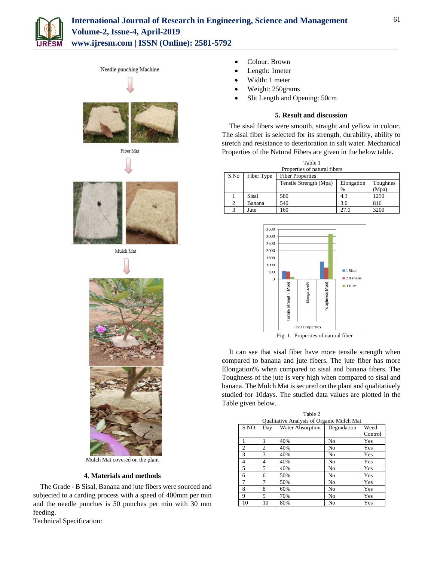





Needle punching Machine





## **4. Materials and methods**

The Grade - B Sisal, Banana and jute fibers were sourced and subjected to a carding process with a speed of 400mm per min and the needle punches is 50 punches per min with 30 mm feeding.

Technical Specification:

- Colour: Brown
- Length: 1meter
- Width: 1 meter
- Weight: 250grams
- Slit Length and Opening: 50cm

#### **5. Result and discussion**

The sisal fibers were smooth, straight and yellow in colour. The sisal fiber is selected for its strength, durability, ability to stretch and resistance to deterioration in salt water. Mechanical Properties of the Natural Fibers are given in the below table.

| Table 1                      |            |                         |            |          |  |  |  |
|------------------------------|------------|-------------------------|------------|----------|--|--|--|
| Properties of natural fibers |            |                         |            |          |  |  |  |
| S.No                         | Fiber Type | <b>Fiber Properties</b> |            |          |  |  |  |
|                              |            | Tensile Strength (Mpa)  | Elongation | Toughnes |  |  |  |
|                              |            |                         | %          | (Mpa)    |  |  |  |
|                              | Sisal      | 580                     | 4.3        | 1250     |  |  |  |
| 2                            | Banana     | 540                     | 3.0        | 816      |  |  |  |
| 3                            | Jute       | 160                     | 27.0       | 3200     |  |  |  |



Fig. 1. Properties of natural fiber

It can see that sisal fiber have more tensile strength when compared to banana and jute fibers. The jute fiber has more Elongation% when compared to sisal and banana fibers. The Toughness of the jute is very high when compared to sisal and banana. The Mulch Mat is secured on the plant and qualitatively studied for 10days. The studied data values are plotted in the Table given below.

| Table 2                                   |                |                  |             |         |  |  |  |
|-------------------------------------------|----------------|------------------|-------------|---------|--|--|--|
| Qualitative Analysis of Organic Mulch Mat |                |                  |             |         |  |  |  |
| S.NO                                      | Day            | Water Absorption | Degradation | Weed    |  |  |  |
|                                           |                |                  |             | Control |  |  |  |
|                                           |                | 40%              | No          | Yes     |  |  |  |
| $\overline{2}$                            | $\overline{c}$ | 40%              | No          | Yes     |  |  |  |
| 3                                         | 3              | 40%              | No          | Yes     |  |  |  |
| $\overline{4}$                            | 4              | 40%              | No          | Yes     |  |  |  |
| 5                                         | 5              | 40%              | No          | Yes     |  |  |  |
| 6                                         | 6              | 50%              | No          | Yes     |  |  |  |
|                                           | 7              | 50%              | No          | Yes     |  |  |  |
| 8                                         | 8              | 60%              | No          | Yes     |  |  |  |
| 9                                         | 9              | 70%              | No          | Yes     |  |  |  |
| 10                                        | 10             | 80%              | No          | Yes     |  |  |  |